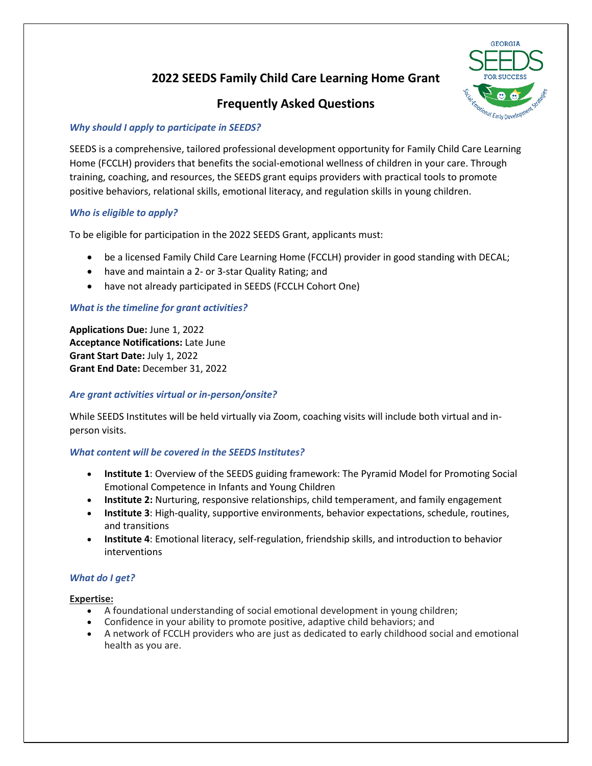# **2022 SEEDS Family Child Care Learning Home Grant**

# **Frequently Asked Questions**



## *Why should I apply to participate in SEEDS?*

SEEDS is a comprehensive, tailored professional development opportunity for Family Child Care Learning Home (FCCLH) providers that benefits the social-emotional wellness of children in your care. Through training, coaching, and resources, the SEEDS grant equips providers with practical tools to promote positive behaviors, relational skills, emotional literacy, and regulation skills in young children.

# *Who is eligible to apply?*

To be eligible for participation in the 2022 SEEDS Grant, applicants must:

- be a licensed Family Child Care Learning Home (FCCLH) provider in good standing with DECAL;
- have and maintain a 2- or 3-star Quality Rating; and
- have not already participated in SEEDS (FCCLH Cohort One)

# *What is the timeline for grant activities?*

**Applications Due:** June 1, 2022 **Acceptance Notifications:** Late June **Grant Start Date:** July 1, 2022 **Grant End Date:** December 31, 2022

#### *Are grant activities virtual or in-person/onsite?*

While SEEDS Institutes will be held virtually via Zoom, coaching visits will include both virtual and inperson visits.

#### *What content will be covered in the SEEDS Institutes?*

- **Institute 1**: Overview of the SEEDS guiding framework: The Pyramid Model for Promoting Social Emotional Competence in Infants and Young Children
- **Institute 2:** Nurturing, responsive relationships, child temperament, and family engagement
- **Institute 3**: High-quality, supportive environments, behavior expectations, schedule, routines, and transitions
- **Institute 4**: Emotional literacy, self-regulation, friendship skills, and introduction to behavior interventions

# *What do I get?*

#### **Expertise:**

- A foundational understanding of social emotional development in young children;
- Confidence in your ability to promote positive, adaptive child behaviors; and
- A network of FCCLH providers who are just as dedicated to early childhood social and emotional health as you are.